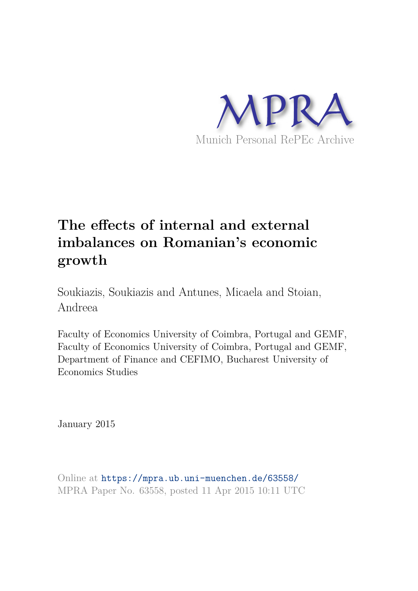

# **The effects of internal and external imbalances on Romanian's economic growth**

Soukiazis, Soukiazis and Antunes, Micaela and Stoian, Andreea

Faculty of Economics University of Coimbra, Portugal and GEMF, Faculty of Economics University of Coimbra, Portugal and GEMF, Department of Finance and CEFIMO, Bucharest University of Economics Studies

January 2015

Online at https://mpra.ub.uni-muenchen.de/63558/ MPRA Paper No. 63558, posted 11 Apr 2015 10:11 UTC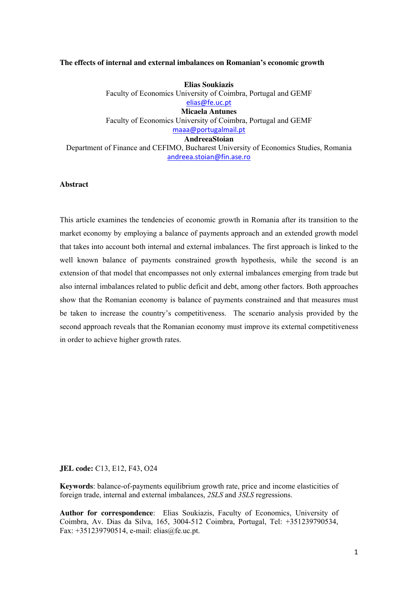#### **The effects of internal and external imbalances on Romanian's economic growth**

**Elias Soukiazis**  Faculty of Economics University of Coimbra, Portugal and GEMF elias@fe.uc.pt **Micaela Antunes**  Faculty of Economics University of Coimbra, Portugal and GEMF [maaa@portugalmail.pt](mailto:maaa@portugalmail.pt) **AndreeaStoian** 

Department of Finance and CEFIMO, Bucharest University of Economics Studies, Romania andreea.stoian@fin.ase.ro

# **Abstract**

This article examines the tendencies of economic growth in Romania after its transition to the market economy by employing a balance of payments approach and an extended growth model that takes into account both internal and external imbalances. The first approach is linked to the well known balance of payments constrained growth hypothesis, while the second is an extension of that model that encompasses not only external imbalances emerging from trade but also internal imbalances related to public deficit and debt, among other factors. Both approaches show that the Romanian economy is balance of payments constrained and that measures must be taken to increase the country's competitiveness. The scenario analysis provided by the second approach reveals that the Romanian economy must improve its external competitiveness in order to achieve higher growth rates.

**JEL code:** C13, E12, F43, O24

**Keywords**: balance-of-payments equilibrium growth rate, price and income elasticities of foreign trade, internal and external imbalances, *2SLS* and *3SLS* regressions.

**Author for correspondence**: Elias Soukiazis, Faculty of Economics, University of Coimbra, Av. Dias da Silva, 165, 3004-512 Coimbra, Portugal, Tel: +351239790534, Fax: +351239790514, e-mail: [elias@fe.uc.pt](mailto:elias@fe.uc.pt).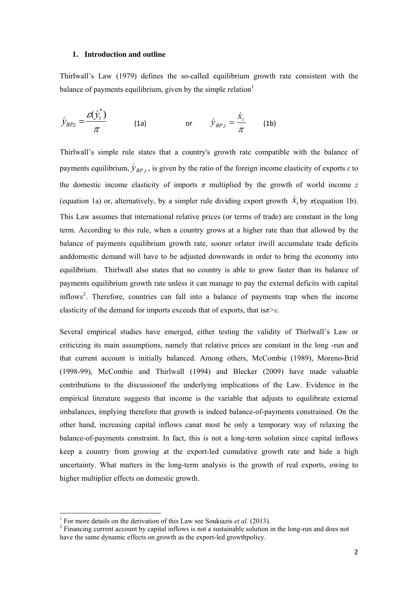# **1. Introduction and outline**

Thirlwall's Law (1979) defines the so-called equilibrium growth rate consistent with the balance of payments equilibrium, given by the simple relation $<sup>1</sup>$  $<sup>1</sup>$  $<sup>1</sup>$ </sup>

$$
\dot{y}_{BP,t} = \frac{\varepsilon(\dot{y}_t^*)}{\pi} \qquad (1a) \qquad \text{or} \qquad \dot{y}_{BP,t} = \frac{\dot{x}_t}{\pi} \qquad (1b)
$$

Thirlwall's simple rule states that a country's growth rate compatible with the balance of payments equilibrium,  $\dot{\mathcal{Y}}_{BP,t}$ , is given by the ratio of the foreign income elasticity of exports  $\varepsilon$  to the domestic income elasticity of imports  $\pi$  multiplied by the growth of world income  $\pi$ (equation 1a) or, alternatively, by a simpler rule dividing export growth  $\dot{x}_t$  by  $\pi$ (equation 1b). This Law assumes that international relative prices (or terms of trade) are constant in the long term. According to this rule, when a country grows at a higher rate than that allowed by the balance of payments equilibrium growth rate, sooner orlater itwill accumulate trade deficits anddomestic demand will have to be adjusted downwards in order to bring the economy into equilibrium. Thirlwall also states that no country is able to grow faster than its balance of payments equilibrium growth rate unless it can manage to pay the external deficits with capital inflows [2](#page-2-1) . Therefore, countries can fall into a balance of payments trap when the income elasticity of the demand for imports exceeds that of exports, that is*π>ε.*

Several empirical studies have emerged, either testing the validity of Thirlwall's Law or criticizing its main assumptions, namely that relative prices are constant in the long -run and that current account is initially balanced. Among others, McCombie (1989), Moreno-Brid (1998-99), McCombie and Thirlwall (1994) and Blecker (2009) have made valuable contributions to the discussionof the underlying implications of the Law. Evidence in the empirical literature suggests that income is the variable that adjusts to equilibrate external imbalances, implying therefore that growth is indeed balance-of-payments constrained. On the other hand, increasing capital inflows canat most be only a temporary way of relaxing the balance-of-payments constraint. In fact, this is not a long-term solution since capital inflows keep a country from growing at the export-led cumulative growth rate and hide a high uncertainty. What matters in the long-term analysis is the growth of real exports, owing to higher multiplier effects on domestic growth.

<sup>&</sup>lt;sup>1</sup> For more details on the derivation of this Law see Soukiazis *et al.* (2013).

<span id="page-2-1"></span><span id="page-2-0"></span> $2$  Financing current account by capital inflows is not a sustainable solution in the long-run and does not have the same dynamic effects on growth as the export-led growthpolicy.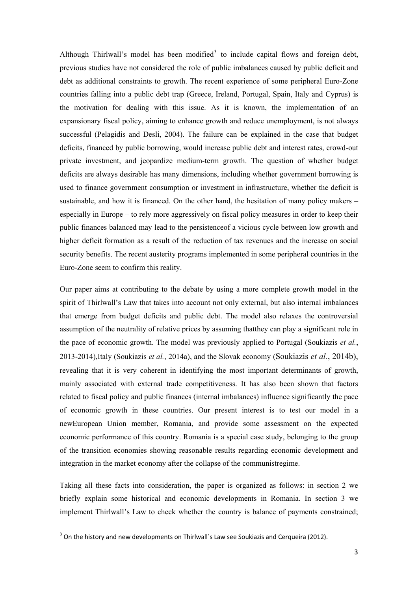Although Thirlwall's model has been modified<sup>[3](#page-3-0)</sup> to include capital flows and foreign debt, previous studies have not considered the role of public imbalances caused by public deficit and debt as additional constraints to growth. The recent experience of some peripheral Euro-Zone countries falling into a public debt trap (Greece, Ireland, Portugal, Spain, Italy and Cyprus) is the motivation for dealing with this issue. As it is known, the implementation of an expansionary fiscal policy, aiming to enhance growth and reduce unemployment, is not always successful (Pelagidis and Desli, 2004). The failure can be explained in the case that budget deficits, financed by public borrowing, would increase public debt and interest rates, crowd-out private investment, and jeopardize medium-term growth. The question of whether budget deficits are always desirable has many dimensions, including whether government borrowing is used to finance government consumption or investment in infrastructure, whether the deficit is sustainable, and how it is financed. On the other hand, the hesitation of many policy makers – especially in Europe – to rely more aggressively on fiscal policy measures in order to keep their public finances balanced may lead to the persistenceof a vicious cycle between low growth and higher deficit formation as a result of the reduction of tax revenues and the increase on social security benefits. The recent austerity programs implemented in some peripheral countries in the Euro-Zone seem to confirm this reality.

Our paper aims at contributing to the debate by using a more complete growth model in the spirit of Thirlwall's Law that takes into account not only external, but also internal imbalances that emerge from budget deficits and public debt. The model also relaxes the controversial assumption of the neutrality of relative prices by assuming thatthey can play a significant role in the pace of economic growth. The model was previously applied to Portugal (Soukiazis *et al.*, 2013-2014),Italy (Soukiazis *et al.*, 2014a), and the Slovak economy (Soukiazis *et al.*, 2014b), revealing that it is very coherent in identifying the most important determinants of growth, mainly associated with external trade competitiveness. It has also been shown that factors related to fiscal policy and public finances (internal imbalances) influence significantly the pace of economic growth in these countries. Our present interest is to test our model in a newEuropean Union member, Romania, and provide some assessment on the expected economic performance of this country. Romania is a special case study, belonging to the group of the transition economies showing reasonable results regarding economic development and integration in the market economy after the collapse of the communistregime.

Taking all these facts into consideration, the paper is organized as follows: in section 2 we briefly explain some historical and economic developments in Romania. In section 3 we implement Thirlwall's Law to check whether the country is balance of payments constrained;

<span id="page-3-0"></span> $3$  On the history and new developments on Thirlwall's Law see Soukiazis and Cerqueira (2012).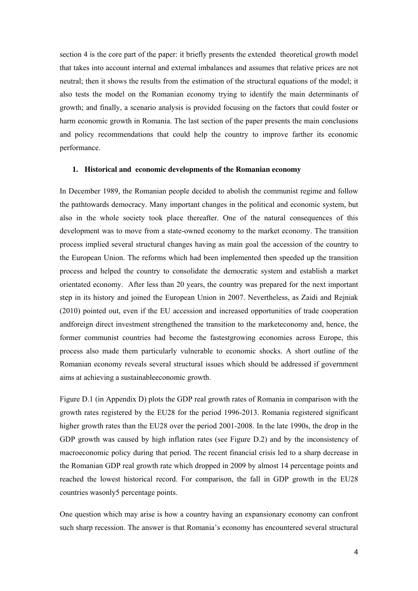section 4 is the core part of the paper: it briefly presents the extended theoretical growth model that takes into account internal and external imbalances and assumes that relative prices are not neutral; then it shows the results from the estimation of the structural equations of the model; it also tests the model on the Romanian economy trying to identify the main determinants of growth; and finally, a scenario analysis is provided focusing on the factors that could foster or harm economic growth in Romania. The last section of the paper presents the main conclusions and policy recommendations that could help the country to improve farther its economic performance.

#### **1. Historical and economic developments of the Romanian economy**

In December 1989, the Romanian people decided to abolish the communist regime and follow the pathtowards democracy. Many important changes in the political and economic system, but also in the whole society took place thereafter. One of the natural consequences of this development was to move from a state-owned economy to the market economy. The transition process implied several structural changes having as main goal the accession of the country to the European Union. The reforms which had been implemented then speeded up the transition process and helped the country to consolidate the democratic system and establish a market orientated economy. After less than 20 years, the country was prepared for the next important step in its history and joined the European Union in 2007. Nevertheless, as Zaidi and Rejniak (2010) pointed out, even if the EU accession and increased opportunities of trade cooperation andforeign direct investment strengthened the transition to the marketeconomy and, hence, the former communist countries had become the fastestgrowing economies across Europe, this process also made them particularly vulnerable to economic shocks. A short outline of the Romanian economy reveals several structural issues which should be addressed if government aims at achieving a sustainableeconomic growth.

Figure D.1 (in Appendix D) plots the GDP real growth rates of Romania in comparison with the growth rates registered by the EU28 for the period 1996-2013. Romania registered significant higher growth rates than the EU28 over the period 2001-2008. In the late 1990s, the drop in the GDP growth was caused by high inflation rates (see Figure D.2) and by the inconsistency of macroeconomic policy during that period. The recent financial crisis led to a sharp decrease in the Romanian GDP real growth rate which dropped in 2009 by almost 14 percentage points and reached the lowest historical record. For comparison, the fall in GDP growth in the EU28 countries wasonly5 percentage points.

One question which may arise is how a country having an expansionary economy can confront such sharp recession. The answer is that Romania's economy has encountered several structural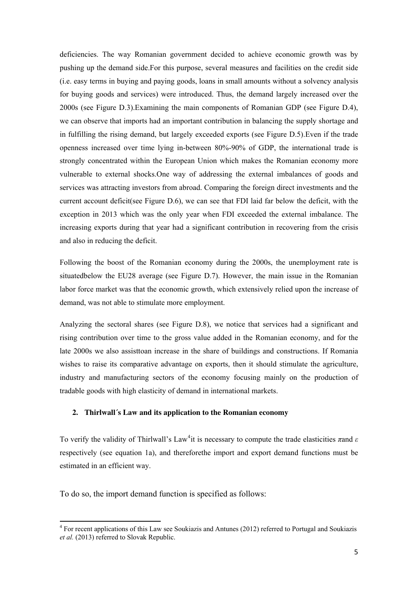<span id="page-5-0"></span>deficiencies. The way Romanian government decided to achieve economic growth was by pushing up the demand side.For this purpose, several measures and facilities on the credit side (i.e. easy terms in buying and paying goods, loans in small amounts without a solvency analysis for buying goods and services) were introduced. Thus, the demand largely increased over the 2000s (see Figure D.3).Examining the main components of Romanian GDP (see Figure D.4), we can observe that imports had an important contribution in balancing the supply shortage and in fulfilling the rising demand, but largely exceeded exports (see Figure D.5).Even if the trade openness increased over time lying in-between 80%-90% of GDP, the international trade is strongly concentrated within the European Union which makes the Romanian economy more vulnerable to external shocks.One way of addressing the external imbalances of goods and services was attracting investors from abroad. Comparing the foreign direct investments and the current account deficit(see Figure D.6), we can see that FDI laid far below the deficit, with the exception in 2013 which was the only year when FDI exceeded the external imbalance. The increasing exports during that year had a significant contribution in recovering from the crisis and also in reducing the deficit.

Following the boost of the Romanian economy during the 2000s, the unemployment rate is situatedbelow the EU28 average (see Figure D.7). However, the main issue in the Romanian labor force market was that the economic growth, which extensively relied upon the increase of demand, was not able to stimulate more employment.

Analyzing the sectoral shares (see Figure D.8), we notice that services had a significant and rising contribution over time to the gross value added in the Romanian economy, and for the late 2000s we also assisttoan increase in the share of buildings and constructions. If Romania wishes to raise its comparative advantage on exports, then it should stimulate the agriculture, industry and manufacturing sectors of the economy focusing mainly on the production of tradable goods with high elasticity of demand in international markets.

# **2. Thirlwall´s Law and its application to the Romanian economy**

To verify the validity of Thirlwall's Law[4](#page-5-0) it is necessary to compute the trade elasticities *π*and *ε* respectively (see equation 1a), and thereforethe import and export demand functions must be estimated in an efficient way.

To do so, the import demand function is specified as follows:

<sup>&</sup>lt;sup>4</sup> For recent applications of this Law see Soukiazis and Antunes (2012) referred to Portugal and Soukiazis *et al.* (2013) referred to Slovak Republic.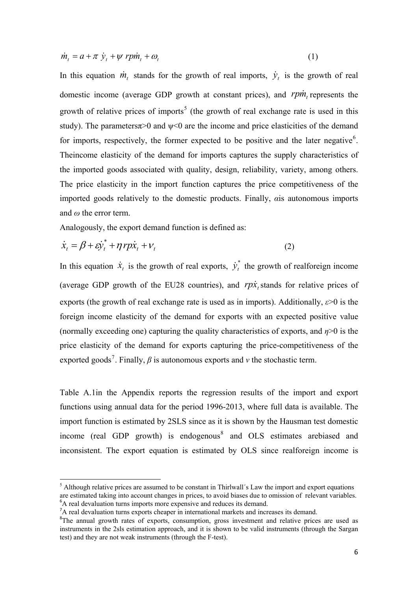<span id="page-6-0"></span>
$$
\dot{m}_t = a + \pi \dot{y}_t + \psi r p \dot{m}_t + \omega_t \tag{1}
$$

In this equation  $\dot{m}_t$  stands for the growth of real imports,  $\dot{y}_t$  is the growth of real domestic income (average GDP growth at constant prices), and  $r p m_t$  represents the growth of relative prices of imports<sup>[5](#page-6-0)</sup> (the growth of real exchange rate is used in this study). The parameters $\pi$  and  $\psi$ <0 are the income and price elasticities of the demand for imports, respectively, the former expected to be positive and the later negative $6$ . Theincome elasticity of the demand for imports captures the supply characteristics of the imported goods associated with quality, design, reliability, variety, among others. The price elasticity in the import function captures the price competitiveness of the imported goods relatively to the domestic products. Finally, *α*is autonomous imports and *ω* the error term.

Analogously, the export demand function is defined as:

$$
\dot{x}_t = \beta + \varepsilon \dot{y}_t^* + \eta \, r p \dot{x}_t + v_t \tag{2}
$$

In this equation  $\dot{x}_t$  is the growth of real exports,  $\dot{y}_t^*$  the growth of realforeign income (average GDP growth of the EU28 countries), and  $rp\dot{x}_t$  stands for relative prices of exports (the growth of real exchange rate is used as in imports). Additionally, *ε*>0 is the foreign income elasticity of the demand for exports with an expected positive value (normally exceeding one) capturing the quality characteristics of exports, and *η*>0 is the price elasticity of the demand for exports capturing the price-competitiveness of the exported goods<sup>[7](#page-6-0)</sup>. Finally,  $\beta$  is autonomous exports and  $\nu$  the stochastic term.  $\dot{y}_i$ 

Table A.1in the Appendix reports the regression results of the import and export functions using annual data for the period 1996-2013, where full data is available. The import function is estimated by 2SLS since as it is shown by the Hausman test domestic income (real GDP growth) is endogenous<sup>[8](#page-6-0)</sup> and OLS estimates arebiased and inconsistent. The export equation is estimated by OLS since realforeign income is

<sup>&</sup>lt;sup>5</sup> Although relative prices are assumed to be constant in Thirlwall's Law the import and export equations are estimated taking into account changes in prices, to avoid biases due to omission of relevant variables. <sup>6</sup>A real devaluation turns imports more expensive and reduces its demand.

<sup>7</sup>A real devaluation turns exports cheaper in international markets and increases its demand.

<sup>&</sup>lt;sup>8</sup>The annual growth rates of exports, consumption, gross investment and relative prices are used as instruments in the 2sls estimation approach, and it is shown to be valid instruments (through the Sargan test) and they are not weak instruments (through the F-test).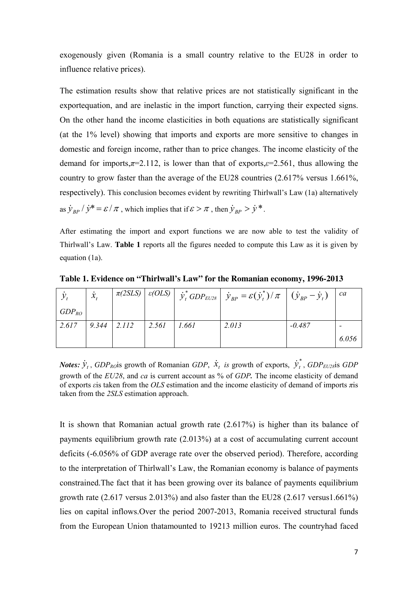exogenously given (Romania is a small country relative to the EU28 in order to influence relative prices).

The estimation results show that relative prices are not statistically significant in the exportequation, and are inelastic in the import function, carrying their expected signs. On the other hand the income elasticities in both equations are statistically significant (at the 1% level) showing that imports and exports are more sensitive to changes in domestic and foreign income, rather than to price changes. The income elasticity of the demand for imports, $\pi=2.112$ , is lower than that of exports, $\varepsilon=2.561$ , thus allowing the country to grow faster than the average of the EU28 countries (2.617% versus 1.661%, respectively). This conclusion becomes evident by rewriting Thirlwall's Law (1a) alternatively as  $\dot{y}_{BP} / \dot{y}^* = \varepsilon / \pi$ , which implies that if  $\varepsilon > \pi$ , then  $\dot{y}_{BP} > \dot{y}^*$ .

After estimating the import and export functions we are now able to test the validity of Thirlwall's Law. **Table 1** reports all the figures needed to compute this Law as it is given by equation (1a).

|            | $\overline{\mathcal{X}}$ |               |       |       | $\pi(2SLS)$ $\left[ \varepsilon(OLS) \right]$ $\dot{y}_t^*$ $GDP_{EU28}$ $\left  \dot{y}_{BP} = \varepsilon(\dot{y}_t^*) / \pi \right $ $(\dot{y}_{BP} - \dot{y}_t)$ |          | ca    |
|------------|--------------------------|---------------|-------|-------|----------------------------------------------------------------------------------------------------------------------------------------------------------------------|----------|-------|
| $GDP_{RO}$ |                          |               |       |       |                                                                                                                                                                      |          |       |
| 2.617      | 9.344                    | $\vert$ 2.112 | 2.561 | 1.661 | 2.013                                                                                                                                                                | $-0.487$ |       |
|            |                          |               |       |       |                                                                                                                                                                      |          | 6.056 |

**Table 1. Evidence on "Thirlwall's Law" for the Romanian economy, 1996-2013** 

*Notes:*  $\dot{y}_t$ , *GDP*<sub>*RO*</sub>is growth of Romanian *GDP*,  $\dot{x}_t$  *is* growth of exports,  $\dot{y}_t^*$ , *GDP*<sub>*EU28*</sub>is *GDP* growth of the *EU28*, and *ca* is current account as % of *GDP.* The income elasticity of demand of exports *ε*is taken from the *OLS* estimation and the income elasticity of demand of imports *π*is taken from the *2SLS* estimation approach. *t y*&

It is shown that Romanian actual growth rate (2.617%) is higher than its balance of payments equilibrium growth rate (2.013%) at a cost of accumulating current account deficits (-6.056% of GDP average rate over the observed period). Therefore, according to the interpretation of Thirlwall's Law, the Romanian economy is balance of payments constrained.The fact that it has been growing over its balance of payments equilibrium growth rate (2.617 versus 2.013%) and also faster than the EU28 (2.617 versus1.661%) lies on capital inflows.Over the period 2007-2013, Romania received structural funds from the European Union thatamounted to 19213 million euros. The countryhad faced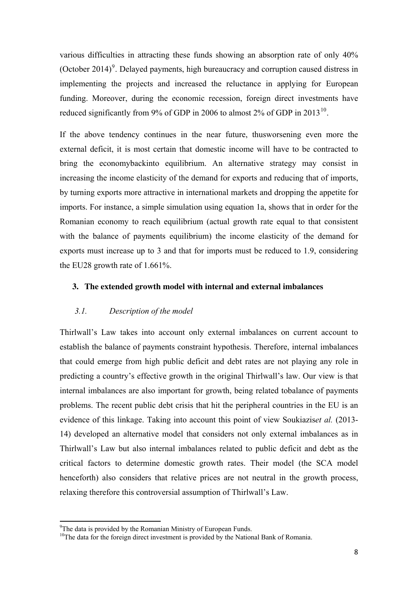<span id="page-8-0"></span>various difficulties in attracting these funds showing an absorption rate of only 40% (October 2014)<sup>[9](#page-8-0)</sup>. Delayed payments, high bureaucracy and corruption caused distress in implementing the projects and increased the reluctance in applying for European funding. Moreover, during the economic recession, foreign direct investments have reduced significantly from 9% of GDP in 2006 to almost 2% of GDP in 2013<sup>[10](#page-8-0)</sup>.

If the above tendency continues in the near future, thusworsening even more the external deficit, it is most certain that domestic income will have to be contracted to bring the economybackinto equilibrium. An alternative strategy may consist in increasing the income elasticity of the demand for exports and reducing that of imports, by turning exports more attractive in international markets and dropping the appetite for imports. For instance, a simple simulation using equation 1a, shows that in order for the Romanian economy to reach equilibrium (actual growth rate equal to that consistent with the balance of payments equilibrium) the income elasticity of the demand for exports must increase up to 3 and that for imports must be reduced to 1.9, considering the EU28 growth rate of 1.661%.

# **3. The extended growth model with internal and external imbalances**

# *3.1. Description of the model*

Thirlwall's Law takes into account only external imbalances on current account to establish the balance of payments constraint hypothesis. Therefore, internal imbalances that could emerge from high public deficit and debt rates are not playing any role in predicting a country's effective growth in the original Thirlwall's law. Our view is that internal imbalances are also important for growth, being related tobalance of payments problems. The recent public debt crisis that hit the peripheral countries in the EU is an evidence of this linkage. Taking into account this point of view Soukiazis*et al.* (2013- 14) developed an alternative model that considers not only external imbalances as in Thirlwall's Law but also internal imbalances related to public deficit and debt as the critical factors to determine domestic growth rates. Their model (the SCA model henceforth) also considers that relative prices are not neutral in the growth process, relaxing therefore this controversial assumption of Thirlwall's Law.

<sup>&</sup>lt;sup>9</sup>The data is provided by the Romanian Ministry of European Funds.

<sup>&</sup>lt;sup>10</sup>The data for the foreign direct investment is provided by the National Bank of Romania.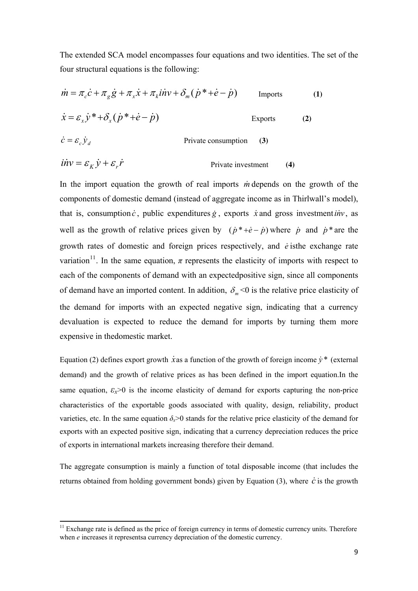<span id="page-9-0"></span>The extended SCA model encompasses four equations and two identities. The set of the four structural equations is the following:

$$
\dot{m} = \pi_c \dot{c} + \pi_g \dot{g} + \pi_x \dot{x} + \pi_k \dot{u} \dot{v} + \delta_m (\dot{p}^* + \dot{e} - \dot{p}) \qquad \text{Imports} \qquad (1)
$$
  
\n
$$
\dot{x} = \varepsilon_x \dot{y}^* + \delta_x (\dot{p}^* + \dot{e} - \dot{p}) \qquad \text{Exports} \qquad (2)
$$

$$
\dot{c} = \varepsilon_c \dot{y}_d
$$
 Private consumption (3)

$$
\dot{H}v = \mathcal{E}_K \dot{y} + \mathcal{E}_r \dot{r}
$$
 Private investment (4)

In the import equation the growth of real imports *in* depends on the growth of the components of domestic demand (instead of aggregate income as in Thirlwall's model), that is, consumption  $\dot{c}$ , public expenditures  $\dot{g}$ , exports  $\dot{x}$  and gross investment *inv*, as well as the growth of relative prices given by  $(\dot{p}^* + \dot{e} - \dot{p})$  where  $\dot{p}$  and  $\dot{p}^*$  are the growth rates of domestic and foreign prices respectively, and *e* isthe exchange rate & variation<sup>[11](#page-9-0)</sup>. In the same equation,  $\pi$  represents the elasticity of imports with respect to each of the components of demand with an expectedpositive sign, since all components of demand have an imported content. In addition,  $\delta_m < 0$  is the relative price elasticity of the demand for imports with an expected negative sign, indicating that a currency devaluation is expected to reduce the demand for imports by turning them more expensive in thedomestic market.

Equation (2) defines export growth  $\dot{x}$  as a function of the growth of foreign income  $\dot{y}^*$  (external demand) and the growth of relative prices as has been defined in the import equation.In the same equation,  $\varepsilon_x > 0$  is the income elasticity of demand for exports capturing the non-price characteristics of the exportable goods associated with quality, design, reliability, product varieties, etc. In the same equation  $\delta_{x}$  > 0 stands for the relative price elasticity of the demand for exports with an expected positive sign, indicating that a currency depreciation reduces the price of exports in international markets increasing therefore their demand.

The aggregate consumption is mainly a function of total disposable income (that includes the returns obtained from holding government bonds) given by Equation (3), where  $\dot{c}$  is the growth

 $11$  Exchange rate is defined as the price of foreign currency in terms of domestic currency units. Therefore when *e* increases it representsa currency depreciation of the domestic currency.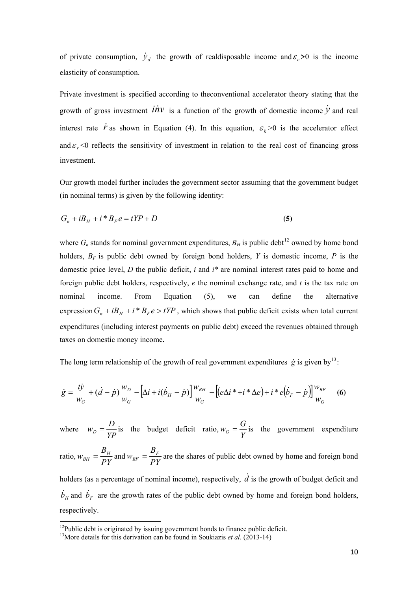<span id="page-10-0"></span>of private consumption,  $\dot{y}_d$  the growth of realdisposable income and  $\varepsilon_c > 0$  is the income elasticity of consumption.

Private investment is specified according to theconventional accelerator theory stating that the growth of gross investment  $\vec{div}$  is a function of the growth of domestic income  $\dot{y}$  and real interest rate  $\dot{r}$  as shown in Equation (4). In this equation,  $\varepsilon_k > 0$  is the accelerator effect and  $\varepsilon_r$  <0 reflects the sensitivity of investment in relation to the real cost of financing gross investment.

Our growth model further includes the government sector assuming that the government budget (in nominal terms) is given by the following identity:

$$
G_n + iB_H + i * B_F e = tYP + D \tag{5}
$$

where  $G_n$  stands for nominal government expenditures,  $B_H$  is public debt<sup>[12](#page-10-0)</sup> owned by home bond holders, *BF* is public debt owned by foreign bond holders, *Y* is domestic income, *P* is the domestic price level, *D* the public deficit, *i* and *i\** are nominal interest rates paid to home and foreign public debt holders, respectively, *e* the nominal exchange rate, and *t* is the tax rate on nominal income. From Equation (5), we can define the alternative expression  $G_n + iB_H + i * B_F e > tYP$ , which shows that public deficit exists when total current expenditures (including interest payments on public debt) exceed the revenues obtained through taxes on domestic money income**.**

The long term relationship of the growth of real government expenditures  $\dot{g}$  is given by<sup>[13](#page-10-0)</sup>:

$$
\dot{g} = \frac{t\dot{y}}{w_G} + (\dot{d} - \dot{p})\frac{w_D}{w_G} - [\Delta i + i(\dot{b}_H - \dot{p})]\frac{w_{BH}}{w_G} - [(\mathbf{e}\Delta i^* + i^*\Delta \mathbf{e}) + i^*\mathbf{e}(\dot{b}_F - \dot{p})]\frac{w_{BF}}{w_G}
$$
(6)

where *YP*  $w_D = \frac{D}{YP}$  is the budget deficit ratio,  $w_G = \frac{G}{Y}$  $W_G = \frac{G}{V}$  is the government expenditure ratio, *PY*  $W_{BH} = \frac{B_H}{PY}$  and  $W_{BF} = \frac{B_F}{PY}$  $W_{BF} = \frac{B_F}{pV}$  are the shares of public debt owned by home and foreign bond holders (as a percentage of nominal income), respectively,  $\dot{d}$  is the growth of budget deficit and  $\dot{b}_H$  and  $\dot{b}_F$  are the growth rates of the public debt owned by home and foreign bond holders, respectively.

 $12$ Public debt is originated by issuing government bonds to finance public deficit.

<sup>&</sup>lt;sup>13</sup>More details for this derivation can be found in Soukiazis *et al.* (2013-14)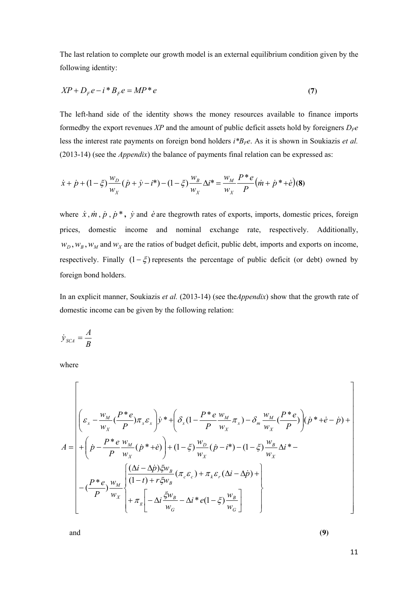The last relation to complete our growth model is an external equilibrium condition given by the following identity:

$$
XP + D_F e - i \cdot B_F e = MP \cdot e \tag{7}
$$

The left-hand side of the identity shows the money resources available to finance imports formedby the export revenues *XP* and the amount of public deficit assets hold by foreigners  $D_F e$ less the interest rate payments on foreign bond holders *i\*BFe*. As it is shown in Soukiazis *et al.*  (2013-14) (see the *Appendix*) the balance of payments final relation can be expressed as:

$$
\dot{x} + \dot{p} + (1 - \xi) \frac{w_D}{w_X} (\dot{p} + \dot{y} - i^*) - (1 - \xi) \frac{w_B}{w_X} \Delta i^* = \frac{w_M}{w_X} \frac{P^* e}{P} (\dot{m} + \dot{p}^* + \dot{e}) (8)
$$

where  $\dot{x}$ ,  $\dot{m}$ ,  $\dot{p}$ ,  $\dot{p}$ ,  $\dot{y}$  and  $\dot{e}$  are thegrowth rates of exports, imports, domestic prices, foreign prices, domestic income and nominal exchange rate, respectively. Additionally,  $w_D$ ,  $w_B$ ,  $w_M$  and  $w_X$  are the ratios of budget deficit, public debt, imports and exports on income, respectively. Finally  $(1 - \xi)$  represents the percentage of public deficit (or debt) owned by foreign bond holders.

In an explicit manner, Soukiazis *et al.* (2013-14) (see the*Appendix*) show that the growth rate of domestic income can be given by the following relation:

$$
\dot{y}_{SCA} = \frac{A}{B}
$$

where

$$
A = \begin{pmatrix} \varepsilon_x - \frac{w_M}{w_x} (\frac{P^*e}{P}) \pi_x \varepsilon_x \\ \varepsilon_x - \frac{w_M}{w_x} (\frac{P^*e}{P}) \pi_x \varepsilon_x \end{pmatrix} y^* + \left( \delta_x (1 - \frac{P^*e}{P} \frac{w_M}{w_x} \pi_x) - \delta_m \frac{w_M}{w_x} (\frac{P^*e}{P}) \right) (\dot{p}^* + \dot{e} - \dot{p}) + \\ + \left( \dot{p} - \frac{P^*e}{P} \frac{w_M}{w_x} (\dot{p}^* + \dot{e}) \right) + (1 - \xi) \frac{w_D}{w_x} (\dot{p} - \dot{v}^*) - (1 - \xi) \frac{w_B}{w_x} \Delta \dot{u}^* - \\ - \left( \frac{P^*e}{P} \right) \frac{w_M}{w_x} \left( \frac{(\Delta \dot{i} - \Delta \dot{p}) \xi w_B}{(1 - \dot{t}) + r \xi w_B} (\pi_c \varepsilon_c) + \pi_k \varepsilon_r (\Delta \dot{i} - \Delta \dot{p}) + \\ + \pi_s \left[ -\Delta \dot{i} \frac{\xi w_B}{w_G} - \Delta \dot{i}^* e (1 - \xi) \frac{w_B}{w_G} \right] \end{pmatrix}
$$

and **(9)**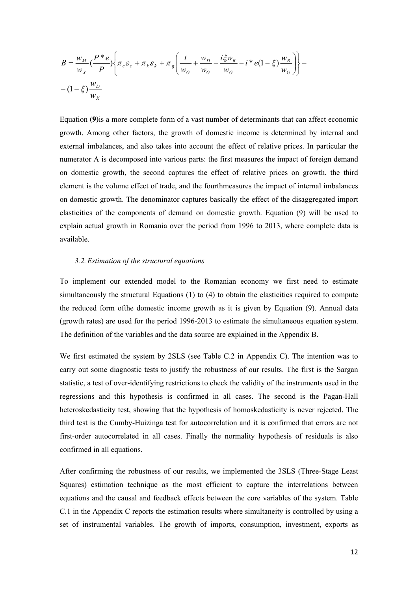$$
B = \frac{w_M}{w_X} \left( \frac{P^* e}{P} \right) \left\{ \pi_c \varepsilon_c + \pi_k \varepsilon_k + \pi_g \left( \frac{t}{w_G} + \frac{w_D}{w_G} - \frac{i \xi w_B}{w_G} - i \cdot e \left( 1 - \xi \right) \frac{w_B}{w_G} \right) \right\} - (1 - \xi) \frac{w_D}{w_X}
$$

Equation **(9)**is a more complete form of a vast number of determinants that can affect economic growth. Among other factors, the growth of domestic income is determined by internal and external imbalances, and also takes into account the effect of relative prices. In particular the numerator A is decomposed into various parts: the first measures the impact of foreign demand on domestic growth, the second captures the effect of relative prices on growth, the third element is the volume effect of trade, and the fourthmeasures the impact of internal imbalances on domestic growth. The denominator captures basically the effect of the disaggregated import elasticities of the components of demand on domestic growth. Equation (9) will be used to explain actual growth in Romania over the period from 1996 to 2013, where complete data is available.

#### *3.2.Estimation of the structural equations*

To implement our extended model to the Romanian economy we first need to estimate simultaneously the structural Equations (1) to (4) to obtain the elasticities required to compute the reduced form ofthe domestic income growth as it is given by Equation (9). Annual data (growth rates) are used for the period 1996-2013 to estimate the simultaneous equation system. The definition of the variables and the data source are explained in the Appendix B.

We first estimated the system by 2SLS (see Table C.2 in Appendix C). The intention was to carry out some diagnostic tests to justify the robustness of our results. The first is the Sargan statistic, a test of over-identifying restrictions to check the validity of the instruments used in the regressions and this hypothesis is confirmed in all cases. The second is the Pagan-Hall heteroskedasticity test, showing that the hypothesis of homoskedasticity is never rejected. The third test is the Cumby-Huizinga test for autocorrelation and it is confirmed that errors are not first-order autocorrelated in all cases. Finally the normality hypothesis of residuals is also confirmed in all equations.

After confirming the robustness of our results, we implemented the 3SLS (Three-Stage Least Squares) estimation technique as the most efficient to capture the interrelations between equations and the causal and feedback effects between the core variables of the system. Table C.1 in the Appendix C reports the estimation results where simultaneity is controlled by using a set of instrumental variables. The growth of imports, consumption, investment, exports as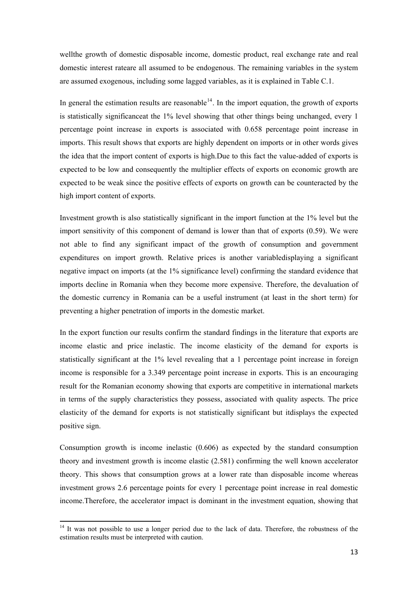<span id="page-13-0"></span>wellthe growth of domestic disposable income, domestic product, real exchange rate and real domestic interest rateare all assumed to be endogenous. The remaining variables in the system are assumed exogenous, including some lagged variables, as it is explained in Table C.1.

In general the estimation results are reasonable<sup>[14](#page-13-0)</sup>. In the import equation, the growth of exports is statistically significanceat the 1% level showing that other things being unchanged, every 1 percentage point increase in exports is associated with 0.658 percentage point increase in imports. This result shows that exports are highly dependent on imports or in other words gives the idea that the import content of exports is high.Due to this fact the value-added of exports is expected to be low and consequently the multiplier effects of exports on economic growth are expected to be weak since the positive effects of exports on growth can be counteracted by the high import content of exports.

Investment growth is also statistically significant in the import function at the 1% level but the import sensitivity of this component of demand is lower than that of exports (0.59). We were not able to find any significant impact of the growth of consumption and government expenditures on import growth. Relative prices is another variabledisplaying a significant negative impact on imports (at the 1% significance level) confirming the standard evidence that imports decline in Romania when they become more expensive. Therefore, the devaluation of the domestic currency in Romania can be a useful instrument (at least in the short term) for preventing a higher penetration of imports in the domestic market.

In the export function our results confirm the standard findings in the literature that exports are income elastic and price inelastic. The income elasticity of the demand for exports is statistically significant at the 1% level revealing that a 1 percentage point increase in foreign income is responsible for a 3.349 percentage point increase in exports. This is an encouraging result for the Romanian economy showing that exports are competitive in international markets in terms of the supply characteristics they possess, associated with quality aspects. The price elasticity of the demand for exports is not statistically significant but itdisplays the expected positive sign.

Consumption growth is income inelastic (0.606) as expected by the standard consumption theory and investment growth is income elastic (2.581) confirming the well known accelerator theory. This shows that consumption grows at a lower rate than disposable income whereas investment grows 2.6 percentage points for every 1 percentage point increase in real domestic income.Therefore, the accelerator impact is dominant in the investment equation, showing that

<sup>&</sup>lt;sup>14</sup> It was not possible to use a longer period due to the lack of data. Therefore, the robustness of the estimation results must be interpreted with caution.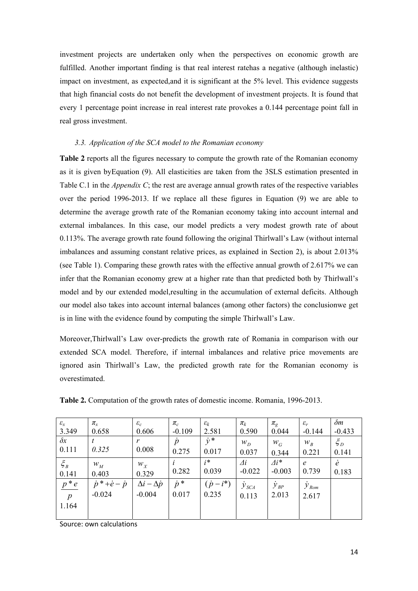investment projects are undertaken only when the perspectives on economic growth are fulfilled. Another important finding is that real interest ratehas a negative (although inelastic) impact on investment, as expected,and it is significant at the 5% level. This evidence suggests that high financial costs do not benefit the development of investment projects. It is found that every 1 percentage point increase in real interest rate provokes a 0.144 percentage point fall in real gross investment.

# *3.3. Application of the SCA model to the Romanian economy*

**Table 2** reports all the figures necessary to compute the growth rate of the Romanian economy as it is given byEquation (9). All elasticities are taken from the 3SLS estimation presented in Table C.1 in the *Appendix C*; the rest are average annual growth rates of the respective variables over the period 1996-2013. If we replace all these figures in Equation (9) we are able to determine the average growth rate of the Romanian economy taking into account internal and external imbalances. In this case, our model predicts a very modest growth rate of about 0.113%. The average growth rate found following the original Thirlwall's Law (without internal imbalances and assuming constant relative prices, as explained in Section 2), is about 2.013% (see Table 1). Comparing these growth rates with the effective annual growth of 2.617% we can infer that the Romanian economy grew at a higher rate than that predicted both by Thirlwall's model and by our extended model,resulting in the accumulation of external deficits. Although our model also takes into account internal balances (among other factors) the conclusionwe get is in line with the evidence found by computing the simple Thirlwall's Law.

Moreover,Thirlwall's Law over-predicts the growth rate of Romania in comparison with our extended SCA model. Therefore, if internal imbalances and relative price movements are ignored asin Thirlwall's Law, the predicted growth rate for the Romanian economy is overestimated.

| $\varepsilon_{x}$ | $\pi_{\scriptscriptstyle \chi}$     | $\varepsilon_c$             | $\pi_c$     | $\varepsilon_k$ | $\pi_k$                   | $\pi_{\rm g}$       | $\varepsilon_r$          | $\delta m$ |
|-------------------|-------------------------------------|-----------------------------|-------------|-----------------|---------------------------|---------------------|--------------------------|------------|
| 3.349             | 0.658                               | 0.606                       | $-0.109$    | 2.581           | 0.590                     | 0.044               | $-0.144$                 | $-0.433$   |
| $\delta x$        |                                     | r                           | $\dot{p}$   | $\dot{v}$ *     | $W_D$                     | $W_G$               | $W_B$                    | $\xi_D$    |
| 0.111             | 0.325                               | 0.008                       | 0.275       | 0.017           | 0.037                     | 0.344               | 0.221                    | 0.141      |
| $\xi_B$           | $W_M$                               | $W_X$                       |             | $i^*$           | $\varDelta i$             | $\varDelta i^*$     | $\epsilon$               | $\dot{e}$  |
| 0.141             | 0.403                               | 0.329                       | 0.282       | 0.039           | $-0.022$                  | $-0.003$            | 0.739                    | 0.183      |
| $p * e$           | $\dot{p}$ * + $\dot{e}$ – $\dot{p}$ | $\Delta i - \Delta \dot{p}$ | $\dot{p}$ * | $(\dot{p}-i^*)$ | $\dot{\mathcal{Y}}_{SCA}$ | $\dot{\cal Y}_{BP}$ | $\dot{y}_{\textit{Rom}}$ |            |
| $\overline{p}$    | $-0.024$                            | $-0.004$                    | 0.017       | 0.235           | 0.113                     | 2.013               | 2.617                    |            |
| 1.164             |                                     |                             |             |                 |                           |                     |                          |            |
|                   |                                     |                             |             |                 |                           |                     |                          |            |

**Table 2.** Computation of the growth rates of domestic income. Romania, 1996-2013.

Source: own calculations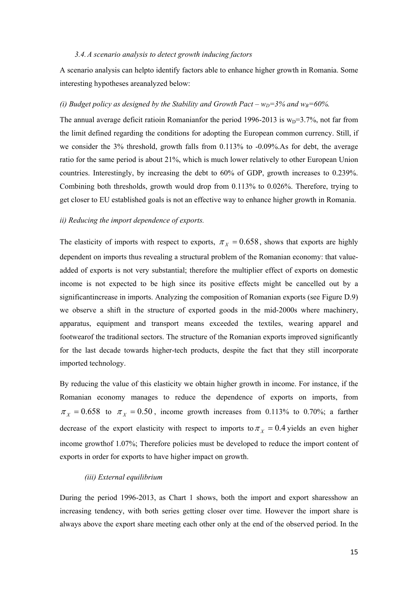#### *3.4.A scenario analysis to detect growth inducing factors*

A scenario analysis can helpto identify factors able to enhance higher growth in Romania. Some interesting hypotheses areanalyzed below:

# *(i) Budget policy as designed by the Stability and Growth Pact –*  $w_D = 3\%$  *and*  $w_B = 60\%$ *.*

The annual average deficit ratioin Romanianfor the period 1996-2013 is  $w_D=3.7\%$ , not far from the limit defined regarding the conditions for adopting the European common currency. Still, if we consider the 3% threshold, growth falls from 0.113% to -0.09%.As for debt, the average ratio for the same period is about 21%, which is much lower relatively to other European Union countries. Interestingly, by increasing the debt to 60% of GDP, growth increases to 0.239%. Combining both thresholds, growth would drop from 0.113% to 0.026%. Therefore, trying to get closer to EU established goals is not an effective way to enhance higher growth in Romania.

#### *ii) Reducing the import dependence of exports.*

The elasticity of imports with respect to exports,  $\pi$ <sub>X</sub> = 0.658, shows that exports are highly dependent on imports thus revealing a structural problem of the Romanian economy: that valueadded of exports is not very substantial; therefore the multiplier effect of exports on domestic income is not expected to be high since its positive effects might be cancelled out by a significantincrease in imports. Analyzing the composition of Romanian exports (see Figure D.9) we observe a shift in the structure of exported goods in the mid-2000s where machinery, apparatus, equipment and transport means exceeded the textiles, wearing apparel and footwearof the traditional sectors. The structure of the Romanian exports improved significantly for the last decade towards higher-tech products, despite the fact that they still incorporate imported technology.

By reducing the value of this elasticity we obtain higher growth in income. For instance, if the Romanian economy manages to reduce the dependence of exports on imports, from  $\pi_X = 0.658$  to  $\pi_X = 0.50$ , income growth increases from 0.113% to 0.70%; a farther decrease of the export elasticity with respect to imports to  $\pi$ <sub>X</sub> = 0.4 yields an even higher income growthof 1.07%; Therefore policies must be developed to reduce the import content of exports in order for exports to have higher impact on growth.

#### *(iii) External equilibrium*

During the period 1996-2013, as Chart 1 shows, both the import and export sharesshow an increasing tendency, with both series getting closer over time. However the import share is always above the export share meeting each other only at the end of the observed period. In the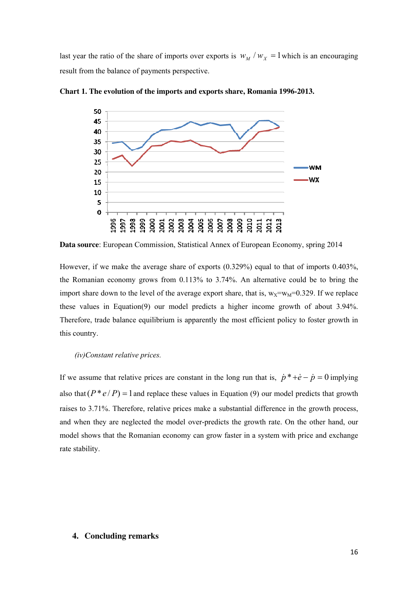last year the ratio of the share of imports over exports is  $w_M / w_X = 1$  which is an encouraging result from the balance of payments perspective.



**Chart 1. The evolution of the imports and exports share, Romania 1996-2013.**

**Data source**: European Commission, Statistical Annex of European Economy, spring 2014

However, if we make the average share of exports (0.329%) equal to that of imports 0.403%, the Romanian economy grows from 0.113% to 3.74%. An alternative could be to bring the import share down to the level of the average export share, that is,  $w_x=w_M=0.329$ . If we replace these values in Equation(9) our model predicts a higher income growth of about 3.94%. Therefore, trade balance equilibrium is apparently the most efficient policy to foster growth in this country.

# *(iv)Constant relative prices.*

If we assume that relative prices are constant in the long run that is,  $\dot{p}$ <sup>\*</sup> +*e* − *p* = 0 implying also that  $(P * e / P) = 1$  and replace these values in Equation (9) our model predicts that growth raises to 3.71%. Therefore, relative prices make a substantial difference in the growth process, and when they are neglected the model over-predicts the growth rate. On the other hand, our model shows that the Romanian economy can grow faster in a system with price and exchange rate stability.

## **4. Concluding remarks**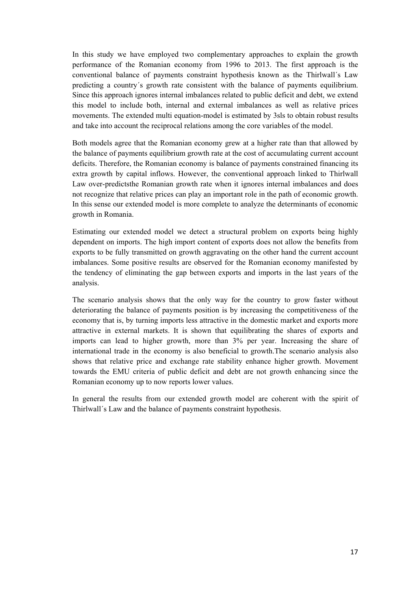In this study we have employed two complementary approaches to explain the growth performance of the Romanian economy from 1996 to 2013. The first approach is the conventional balance of payments constraint hypothesis known as the Thirlwall´s Law predicting a country´s growth rate consistent with the balance of payments equilibrium. Since this approach ignores internal imbalances related to public deficit and debt, we extend this model to include both, internal and external imbalances as well as relative prices movements. The extended multi equation-model is estimated by 3sls to obtain robust results and take into account the reciprocal relations among the core variables of the model.

Both models agree that the Romanian economy grew at a higher rate than that allowed by the balance of payments equilibrium growth rate at the cost of accumulating current account deficits. Therefore, the Romanian economy is balance of payments constrained financing its extra growth by capital inflows. However, the conventional approach linked to Thirlwall Law over-predictsthe Romanian growth rate when it ignores internal imbalances and does not recognize that relative prices can play an important role in the path of economic growth. In this sense our extended model is more complete to analyze the determinants of economic growth in Romania.

Estimating our extended model we detect a structural problem on exports being highly dependent on imports. The high import content of exports does not allow the benefits from exports to be fully transmitted on growth aggravating on the other hand the current account imbalances. Some positive results are observed for the Romanian economy manifested by the tendency of eliminating the gap between exports and imports in the last years of the analysis.

The scenario analysis shows that the only way for the country to grow faster without deteriorating the balance of payments position is by increasing the competitiveness of the economy that is, by turning imports less attractive in the domestic market and exports more attractive in external markets. It is shown that equilibrating the shares of exports and imports can lead to higher growth, more than 3% per year. Increasing the share of international trade in the economy is also beneficial to growth.The scenario analysis also shows that relative price and exchange rate stability enhance higher growth. Movement towards the EMU criteria of public deficit and debt are not growth enhancing since the Romanian economy up to now reports lower values.

In general the results from our extended growth model are coherent with the spirit of Thirlwall´s Law and the balance of payments constraint hypothesis.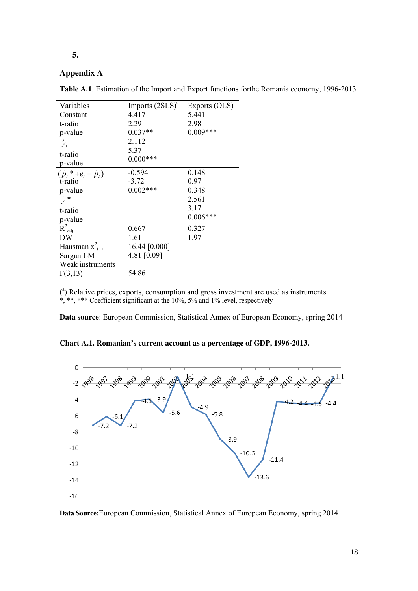# **5.**

# **Appendix A**

**Table A.1**. Estimation of the Import and Export functions forthe Romania economy, 1996-2013

| Variables                                     | Imports $(2SLS)^a$ | Exports (OLS) |
|-----------------------------------------------|--------------------|---------------|
| Constant                                      | 4.417              | 5.441         |
| t-ratio                                       | 2.29               | 2.98          |
| p-value                                       | $0.037**$          | $0.009***$    |
| $\dot{\mathcal{Y}}_t$                         | 2.112              |               |
| t-ratio                                       | 5.37               |               |
| p-value                                       | $0.000***$         |               |
| $(\dot{p}_{t} * + \dot{e}_{t} - \dot{p}_{t})$ | $-0.594$           | 0.148         |
| t-ratio                                       | $-3.72$            | 0.97          |
| p-value                                       | $0.002***$         | 0.348         |
| $\dot{v}$ *                                   |                    | 2.561         |
| t-ratio                                       |                    | 3.17          |
| p-value                                       |                    | $0.006***$    |
| $R^2_{\text{adj}}$                            |                    |               |
|                                               | 0.667              | 0.327         |
| DW                                            | 1.61               | 1.97          |
| Hausman $x^2$ <sub>(1)</sub>                  | 16.44 [0.000]      |               |
| Sargan LM                                     | 4.81 [0.09]        |               |
| Weak instruments                              |                    |               |
| F(3,13)                                       | 54.86              |               |

( a ) Relative prices, exports, consumption and gross investment are used as instruments \*, \*\*, \*\*\* Coefficient significant at the 10%, 5% and 1% level, respectively

**Data source**: European Commission, Statistical Annex of European Economy, spring 2014

**Chart A.1. Romanian's current account as a percentage of GDP, 1996-2013.** 



**Data Source:**European Commission, Statistical Annex of European Economy, spring 2014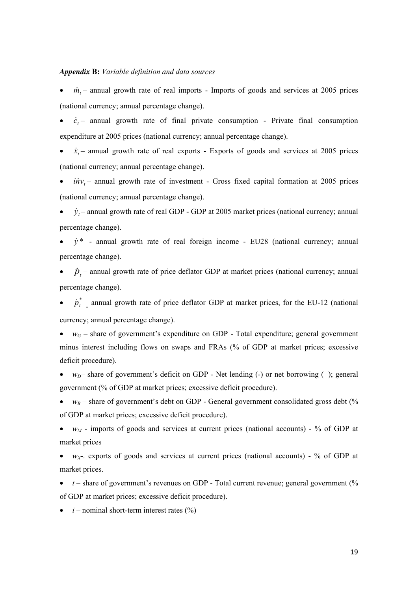#### *Appendix* **B:** *Variable definition and data sources*

•  $\dot{m}_t$  – annual growth rate of real imports - Imports of goods and services at 2005 prices (national currency; annual percentage change).

•  $\dot{c}_t$  – annual growth rate of final private consumption - Private final consumption expenditure at 2005 prices (national currency; annual percentage change).

•  $\dot{x}_t$  – annual growth rate of real exports - Exports of goods and services at 2005 prices (national currency; annual percentage change).

 $\bullet$  *inv<sub>t</sub>* – annual growth rate of investment - Gross fixed capital formation at 2005 prices (national currency; annual percentage change).

•  $\dot{y}_t$  – annual growth rate of real GDP - GDP at 2005 market prices (national currency; annual percentage change).

 $\cdot$   $\dot{y}^*$  - annual growth rate of real foreign income - EU28 (national currency; annual percentage change).

•  $\dot{p}_t$  – annual growth rate of price deflator GDP at market prices (national currency; annual percentage change).

•  $\dot{p}^*$ , annual growth rate of price deflator GDP at market prices, for the EU-12 (national currency; annual percentage change).

•  $w_G$  – share of government's expenditure on GDP - Total expenditure; general government minus interest including flows on swaps and FRAs (% of GDP at market prices; excessive deficit procedure).

• *w<sub>D</sub>*– share of government's deficit on GDP - Net lending (-) or net borrowing (+); general government (% of GDP at market prices; excessive deficit procedure).

 $w_B$  – share of government's debt on GDP - General government consolidated gross debt (%) of GDP at market prices; excessive deficit procedure).

• *w<sub>M</sub>* - imports of goods and services at current prices (national accounts) - % of GDP at market prices

•  $w_{X}$ - exports of goods and services at current prices (national accounts) - % of GDP at market prices.

 $\bullet$  *t* – share of government's revenues on GDP - Total current revenue; general government (%) of GDP at market prices; excessive deficit procedure).

 $\bullet$  *i* – nominal short-term interest rates  $(\%)$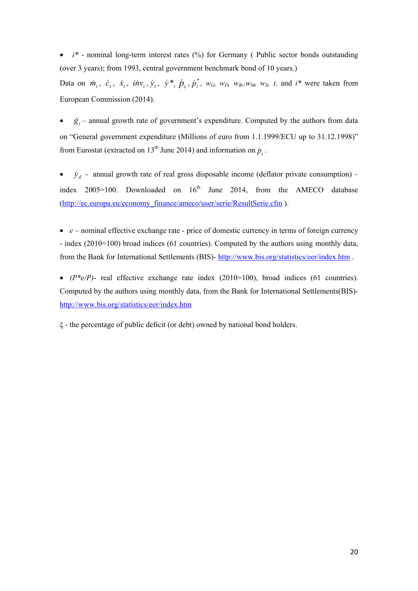$\bullet$  *i*<sup>\*</sup> - nominal long-term interest rates (%) for Germany (Public sector bonds outstanding (over 3 years); from 1993, central government benchmark bond of 10 years.)

Data on  $\dot{m}_t$ ,  $\dot{c}_t$ ,  $\dot{x}_t$ ,  $i\dot{m}v_t$ ,  $\dot{y}_t$ ,  $\dot{y}_t^*$ ,  $\dot{p}_t$ ,  $\dot{p}_t^*$ ,  $w_G$ ,  $w_D$ ,  $w_B$ ,  $w_M$ ,  $w_X$ ,  $t$ , and  $i^*$  were taken from European Commission (2014).  $\dot{p}^{\dagger}_{i}$ 

 $\dot{g}_t$  – annual growth rate of government's expenditure. Computed by the authors from data on "General government expenditure (Millions of euro from 1.1.1999/ECU up to 31.12.1998)" from Eurostat (extracted on 13<sup>th</sup> June 2014) and information on  $\dot{p}_t$ .

•  $\dot{y}_d$  - annual growth rate of real gross disposable income (deflator private consumption) – index  $2005=100$ . Downloaded on  $16<sup>th</sup>$  June 2014, from the AMECO database ([http://ec.europa.eu/economy\\_finance/ameco/user/serie/ResultSerie.cfm](http://ec.europa.eu/economy_finance/ameco/user/serie/ResultSerie.cfm)).

• *e* – nominal effective exchange rate - price of domestic currency in terms of foreign currency - index (2010=100) broad indices (61 countries). Computed by the authors using monthly data, from the Bank for International Settlements (BIS)- <http://www.bis.org/statistics/eer/index.htm>.

•  $(P^*e/P)$ - real effective exchange rate index  $(2010=100)$ , broad indices  $(61 \text{ countries})$ . Computed by the authors using monthly data, from the Bank for International Settlements(BIS) <http://www.bis.org/statistics/eer/index.htm>

ξ - the percentage of public deficit (or debt) owned by national bond holders.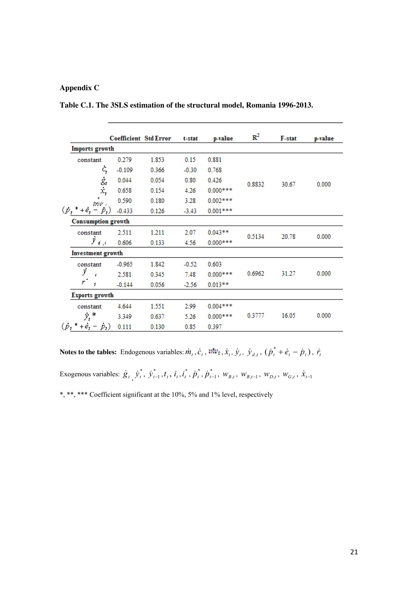## **Appendix C**

**Table C.1. The 3SLS estimation of the structural model, Romania 1996-2013.** 

|                                         | <b>Coefficient Std Error</b> |       | t-stat  | p-value    | $\mathbf{R}^2$ | F-stat | p-value |
|-----------------------------------------|------------------------------|-------|---------|------------|----------------|--------|---------|
| Imports growth                          |                              |       |         |            |                |        |         |
| constant                                | 0.279                        | 1.853 | 0.15    | 0.881      |                |        |         |
| ċ,                                      | $-0.109$                     | 0.366 | $-0.30$ | 0.768      |                |        |         |
|                                         | 0.044                        | 0.054 | 0.80    | 0.426      | 0.8832         | 30.67  | 0.000   |
| $\dot{g}_t$<br>$\dot{x}_t$              | 0.658                        | 0.154 | 4.26    | $0.000***$ |                |        |         |
| inv 1                                   | 0.590                        | 0.180 | 3.28    | $0.002***$ |                |        |         |
| $(p, *$<br>$+e_t$<br>$-p_{t}$           | $-0.433$                     | 0.126 | $-3.43$ | $0.001***$ |                |        |         |
| <b>Consumption growth</b>               |                              |       |         |            |                |        |         |
| constant                                | 2.511                        | 1.211 | 2.07    | $0.043**$  | 0.5134         | 20.78  | 0.000   |
| $\tilde{y}_{\parallel d_0,0}$           | 0.606                        | 0.133 | 4.56    | $0.000***$ |                |        |         |
| <b>Investment</b> growth                |                              |       |         |            |                |        |         |
| constant                                | $-0.965$                     | 1.842 | $-0.52$ | 0.603      |                |        |         |
| ÿ<br>ł.                                 | 2.581                        | 0.345 | 7.48    | $0.000***$ | 0.6962         | 31.27  | 0.000   |
| r<br>t                                  | $-0.144$                     | 0.056 | $-2.56$ | $0.013**$  |                |        |         |
| <b>Exports growth</b>                   |                              |       |         |            |                |        |         |
| constant                                | 4.644                        | 1.551 | 2.99    | $0.004***$ |                |        |         |
| $y^*$                                   | 3.349                        | 0.637 | 5.26    | $0.000***$ | 0.3777         | 16.05  | 0.000   |
| $(\dot{p}_t^* + \dot{e}_t - \dot{p}_t)$ | 0.111                        | 0.130 | 0.85    | 0.397      |                |        |         |

\*, \*\*, \*\*\* Coefficient significant at the 10%, 5% and 1% level, respectively **Notes to the tables:** Endogenous variables:  $\dot{m}_t$ ,  $\dot{c}_t$ ,  $\dot{m}_z$ ,  $\dot{x}_t$ ,  $\dot{y}_t$ ,  $\dot{y}_{d,t}$ ,  $(\dot{p}_t^* + \dot{e}_t - \dot{p}_t)$ ,  $\dot{r}_t$  $\dot{\boldsymbol{g}}_t$   $\dot{\boldsymbol{y}}_t^*$  $\dot{y}_t^*, \dot{y}_{t-1}^*, t_t, i_t, i_t^*$  $i_t^*, \dot{p}_t^*$ *t*<sub>*k*</sub>, *p*<sub>*t*</sub>, *i*<sub>*t*</sup>, *y*<sub>*t*</sub><sup>*t*</sup>, *y*<sub>*t*</sub><sup>*t*</sup>, *i*<sub>*t*</sub>, *i*<sub>*t*</sub>, *i*<sub>*t*</sub><sup>*t*</sup>, *p*<sup>*t*</sup><sub>*t*</sub>, *W<sub><i>Bt*</sub>, *W<sub><i>Bt*</sub>, *W*<sub>*D<sub><i>t*</sub></sub>, *W*<sub>*G*<sub>*t*</sub></sub>, *X*<sub>*t*-1</sub></sub></sub>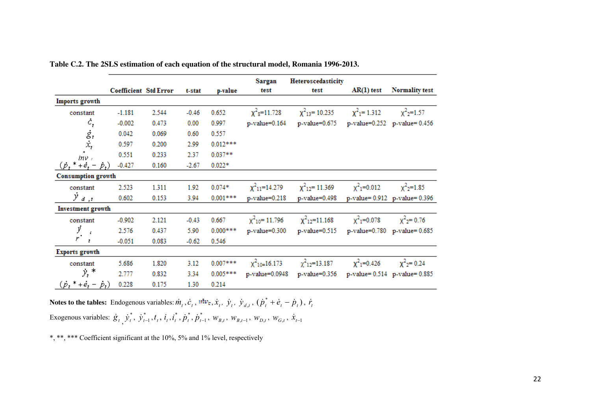|                                         | <b>Coefficient Std Error</b> |       |         |            | Sargan<br>test                 | Heteroscedasticity<br>test     | $AR(1)$ test                 | <b>Normality test</b>               |
|-----------------------------------------|------------------------------|-------|---------|------------|--------------------------------|--------------------------------|------------------------------|-------------------------------------|
|                                         |                              |       | t-stat  | p-value    |                                |                                |                              |                                     |
| Imports growth                          |                              |       |         |            |                                |                                |                              |                                     |
| constant                                | $-1.181$                     | 2.544 | $-0.46$ | 0.652      | $\chi^2$ <sub>8</sub> =11.728  | $\chi^2$ <sub>13</sub> =10.235 | $\chi^2$ <sub>1</sub> =1.312 | $\chi^2$ <sub>2</sub> =1.57         |
| $\dot{c}_t$                             | $-0.002$                     | 0.473 | 0.00    | 0.997      | p-value=0.164                  | p-value=0.675                  |                              | p-value=0.252 p-value=0.456         |
| $\ddot{\mathcal{S}}_t$                  | 0.042                        | 0.069 | 0.60    | 0.557      |                                |                                |                              |                                     |
|                                         | 0.597                        | 0.200 | 2.99    | $0.012***$ |                                |                                |                              |                                     |
| $inv$ ,                                 | 0.551                        | 0.233 | 2.37    | $0.037**$  |                                |                                |                              |                                     |
| $(p, * +e, -$<br>$\dot{p}_t$            | $-0.427$                     | 0.160 | $-2.67$ | $0.022*$   |                                |                                |                              |                                     |
| <b>Consumption growth</b>               |                              |       |         |            |                                |                                |                              |                                     |
| constant                                | 2.523                        | 1.311 | 1.92    | $0.074*$   | $\chi^2$ <sub>11</sub> =14.279 | $\chi^2_{12}$ = 11.369         | $x^2$ <sub>1</sub> =0.012    | $\chi^2$ <sub>2</sub> =1.85         |
| $y_{d,t}$                               | 0.602                        | 0.153 | 3.94    | $0.001***$ | $p$ -value= $0.218$            | p-value=0.498                  |                              | p-value=0.912 p-value=0.396         |
| <b>Investment</b> growth                |                              |       |         |            |                                |                                |                              |                                     |
| constant                                | $-0.902$                     | 2.121 | $-0.43$ | 0.667      | $\chi^2_{10}$ = 11.796         | $\chi^2_{12}$ =11.168          | $x^2$ <sub>1</sub> =0.078    | $x^2 = 0.76$                        |
| ÿ<br>Ł.                                 | 2.576                        | 0.437 | 5.90    | $0.000***$ | p-value=0.300                  | p-value=0.515                  |                              | $p-value=0.780$ $p-value=0.685$     |
| ri<br>$\mathbf{t}$                      | $-0.051$                     | 0.083 | $-0.62$ | 0.546      |                                |                                |                              |                                     |
| <b>Exports growth</b>                   |                              |       |         |            |                                |                                |                              |                                     |
| constant                                | 5.686                        | 1.820 | 3.12    | $0.007***$ | $\chi^2_{10=16.173}$           | $\chi^2_{12}$ =13.187          | $\chi^2$ <sub>1</sub> =0.426 | $\chi^2$ <sub>2</sub> = 0.24        |
| $y_t$ *                                 | 2.777                        | 0.832 | 3.34    | $0.005***$ | p-value=0.0948                 | p-value=0.356                  |                              | $p-value = 0.514$ $p-value = 0.885$ |
| $(\dot{p}_t * + \dot{e}_t - \dot{p}_t)$ | 0.228                        | 0.175 | 1.30    | 0.214      |                                |                                |                              |                                     |

**Table C.2. The 2SLS estimation of each equation of the structural model, Romania 1996-2013.** 

**Notes to the tables:** Endogenous variables:  $\dot{m}_t$ ,  $\dot{c}_t$ ,  $\dot{m}_v$ ,  $\dot{x}_t$ ,  $\dot{y}_t$ ,  $\dot{y}_d$ ,  $(\dot{p}_t^* + \dot{e}_t - \dot{p}_t)$ ,  $\dot{p}_t^* + \dot{e}_t - \dot{p}_t$ ),  $\dot{r}_t$ Exogenous variables:  $\dot{g}_t$ ,  $\dot{y}_t^*$ ,  $\dot{y}_{t-1}^*$ ,  $t_t$ ,  $\dot{t}_t$ ,  $\dot{t}_t^*$ ,  $\dot{p}_t^*$ ,  $\dot{p}_{t-1}^*$ ,  $w_{B,t}$ ,  $w_{B,t-1}$ ,  $w_{D,t}$ ,  $w_{G,t}$ ,  $\dot{y}^*_{t}$ ,  $\dot{y}^*_{t-1}$ ,  $t_t$ ,  $i_t$ ,  $i_t^*$  $i_t^*, \dot{p}_t^*, \dot{p}_{t-1}^*, w_{B,t}, w_{B,t-1}, w_{D,t}, w_{G,t}, \dot{x}_{t-1}$ 

\*, \*\*, \*\*\* Coefficient significant at the 10%, 5% and 1% level, respectively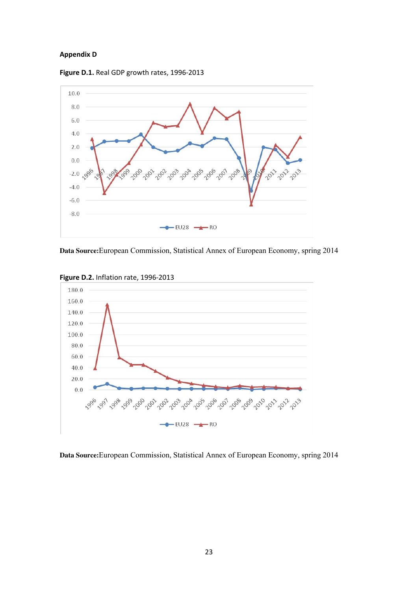# **Appendix D**





**Data Source:**European Commission, Statistical Annex of European Economy, spring 2014



**Figure D.2.** Inflation rate, 1996‐2013

**Data Source:**European Commission, Statistical Annex of European Economy, spring 2014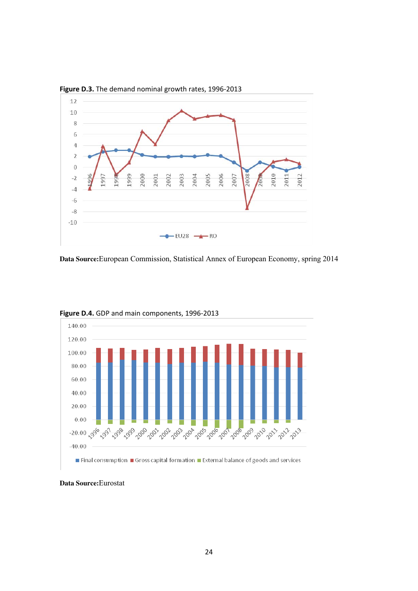

**Data Source:**European Commission, Statistical Annex of European Economy, spring 2014



**Figure D.4.** GDP and main components, 1996‐2013

**Data Source:**Eurostat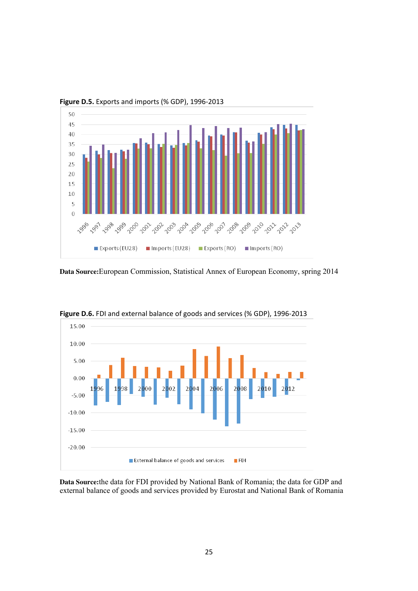

**Figure D.5.** Exports and imports (% GDP), 1996‐2013

**Data Source:**European Commission, Statistical Annex of European Economy, spring 2014



**Figure D.6.** FDI and external balance of goods and services (% GDP), 1996‐2013

**Data Source:**the data for FDI provided by National Bank of Romania; the data for GDP and external balance of goods and services provided by Eurostat and National Bank of Romania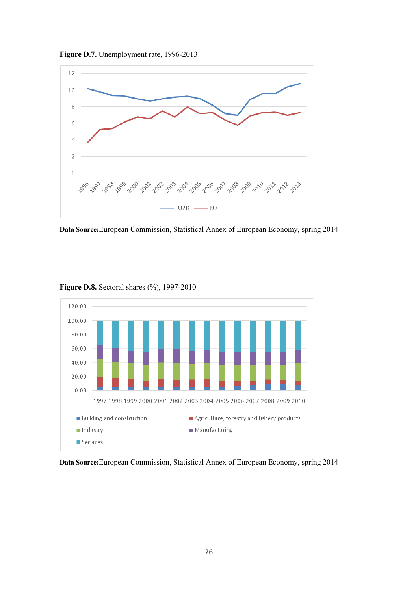

**Data Source:**European Commission, Statistical Annex of European Economy, spring 2014



**Figure D.8.** Sectoral shares (%), 1997-2010

Figure D.7. Unemployment rate, 1996-2013

# **Data Source:**European Commission, Statistical Annex of European Economy, spring 2014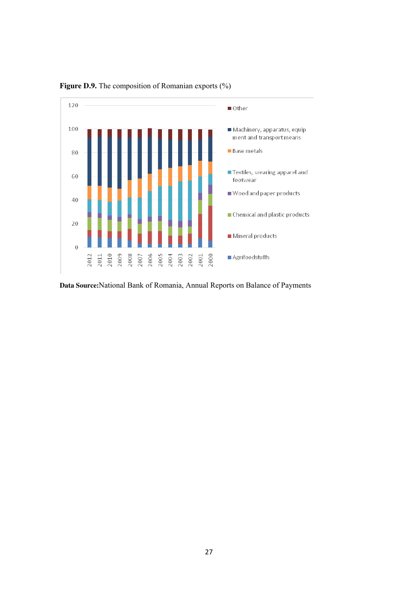

**Figure D.9.** The composition of Romanian exports (%)

**Data Source:**National Bank of Romania, Annual Reports on Balance of Payments